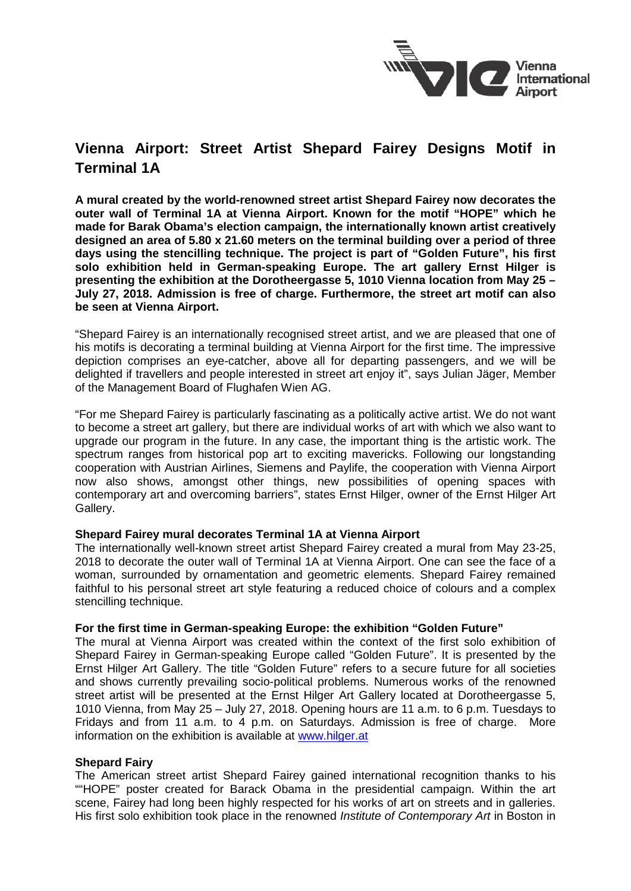

# **Vienna Airport: Street Artist Shepard Fairey Designs Motif in Terminal 1A**

**A mural created by the world-renowned street artist Shepard Fairey now decorates the outer wall of Terminal 1A at Vienna Airport. Known for the motif "HOPE" which he made for Barak Obama's election campaign, the internationally known artist creatively designed an area of 5.80 x 21.60 meters on the terminal building over a period of three days using the stencilling technique. The project is part of "Golden Future", his first solo exhibition held in German-speaking Europe. The art gallery Ernst Hilger is presenting the exhibition at the Dorotheergasse 5, 1010 Vienna location from May 25 – July 27, 2018. Admission is free of charge. Furthermore, the street art motif can also be seen at Vienna Airport.**

"Shepard Fairey is an internationally recognised street artist, and we are pleased that one of his motifs is decorating a terminal building at Vienna Airport for the first time. The impressive depiction comprises an eye-catcher, above all for departing passengers, and we will be delighted if travellers and people interested in street art enjoy it", says Julian Jäger, Member of the Management Board of Flughafen Wien AG.

"For me Shepard Fairey is particularly fascinating as a politically active artist. We do not want to become a street art gallery, but there are individual works of art with which we also want to upgrade our program in the future. In any case, the important thing is the artistic work. The spectrum ranges from historical pop art to exciting mavericks. Following our longstanding cooperation with Austrian Airlines, Siemens and Paylife, the cooperation with Vienna Airport now also shows, amongst other things, new possibilities of opening spaces with contemporary art and overcoming barriers", states Ernst Hilger, owner of the Ernst Hilger Art Gallery.

## **Shepard Fairey mural decorates Terminal 1A at Vienna Airport**

The internationally well-known street artist Shepard Fairey created a mural from May 23-25, 2018 to decorate the outer wall of Terminal 1A at Vienna Airport. One can see the face of a woman, surrounded by ornamentation and geometric elements. Shepard Fairey remained faithful to his personal street art style featuring a reduced choice of colours and a complex stencilling technique.

## **For the first time in German-speaking Europe: the exhibition "Golden Future"**

The mural at Vienna Airport was created within the context of the first solo exhibition of Shepard Fairey in German-speaking Europe called "Golden Future". It is presented by the Ernst Hilger Art Gallery. The title "Golden Future" refers to a secure future for all societies and shows currently prevailing socio-political problems. Numerous works of the renowned street artist will be presented at the Ernst Hilger Art Gallery located at Dorotheergasse 5, 1010 Vienna, from May 25 – July 27, 2018. Opening hours are 11 a.m. to 6 p.m. Tuesdays to Fridays and from 11 a.m. to 4 p.m. on Saturdays. Admission is free of charge. More information on the exhibition is available at [www.hilger.at](http://www.hilger.at/)

## **Shepard Fairy**

The American street artist Shepard Fairey gained international recognition thanks to his ""HOPE" poster created for Barack Obama in the presidential campaign. Within the art scene, Fairey had long been highly respected for his works of art on streets and in galleries. His first solo exhibition took place in the renowned *Institute of Contemporary Art* in Boston in